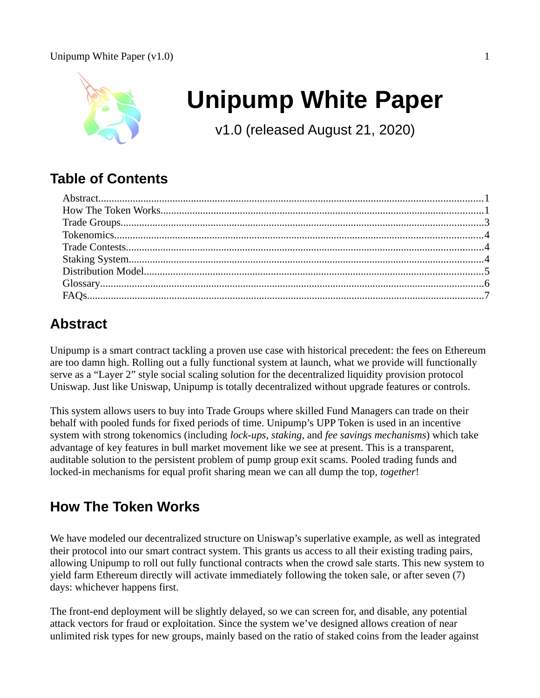

# **Unipump White Paper**

v1.0 (released August 21, 2020)

# **Table of Contents**

# <span id="page-0-1"></span>**Abstract**

Unipump is a smart contract tackling a proven use case with historical precedent: the fees on Ethereum are too damn high. Rolling out a fully functional system at launch, what we provide will functionally serve as a "Layer 2" style social scaling solution for the decentralized liquidity provision protocol Uniswap. Just like Uniswap, Unipump is totally decentralized without upgrade features or controls.

This system allows users to buy into Trade Groups where skilled Fund Managers can trade on their behalf with pooled funds for fixed periods of time. Unipump's UPP Token is used in an incentive system with strong tokenomics (including *lock-ups*, *staking*, and *fee savings mechanisms*) which take advantage of key features in bull market movement like we see at present. This is a transparent, auditable solution to the persistent problem of pump group exit scams. Pooled trading funds and locked-in mechanisms for equal profit sharing mean we can all dump the top, *together*!

# <span id="page-0-0"></span>**How The Token Works**

We have modeled our decentralized structure on Uniswap's superlative example, as well as integrated their protocol into our smart contract system. This grants us access to all their existing trading pairs, allowing Unipump to roll out fully functional contracts when the crowd sale starts. This new system to yield farm Ethereum directly will activate immediately following the token sale, or after seven (7) days: whichever happens first.

The front-end deployment will be slightly delayed, so we can screen for, and disable, any potential attack vectors for fraud or exploitation. Since the system we've designed allows creation of near unlimited risk types for new groups, mainly based on the ratio of staked coins from the leader against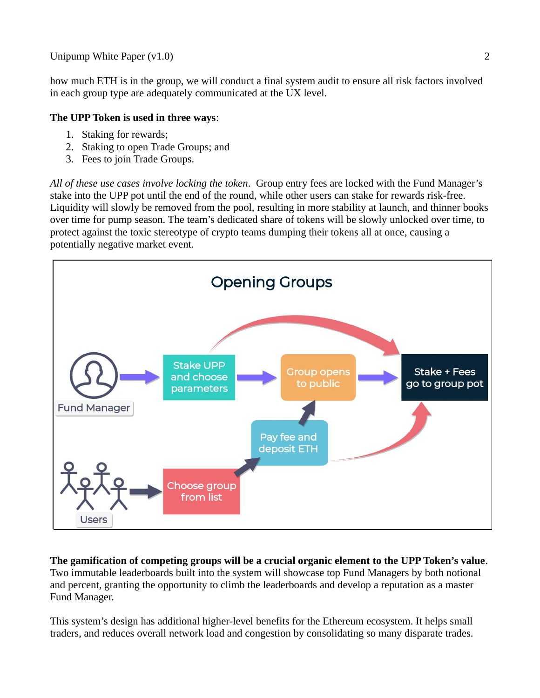how much ETH is in the group, we will conduct a final system audit to ensure all risk factors involved in each group type are adequately communicated at the UX level.

#### **The UPP Token is used in three ways**:

- 1. Staking for rewards;
- 2. Staking to open Trade Groups; and
- 3. Fees to join Trade Groups.

*All of these use cases involve locking the token*. Group entry fees are locked with the Fund Manager's stake into the UPP pot until the end of the round, while other users can stake for rewards risk-free. Liquidity will slowly be removed from the pool, resulting in more stability at launch, and thinner books over time for pump season. The team's dedicated share of tokens will be slowly unlocked over time, to protect against the toxic stereotype of crypto teams dumping their tokens all at once, causing a potentially negative market event.



**The gamification of competing groups will be a crucial organic element to the UPP Token's value**. Two immutable leaderboards built into the system will showcase top Fund Managers by both notional and percent, granting the opportunity to climb the leaderboards and develop a reputation as a master Fund Manager.

This system's design has additional higher-level benefits for the Ethereum ecosystem. It helps small traders, and reduces overall network load and congestion by consolidating so many disparate trades.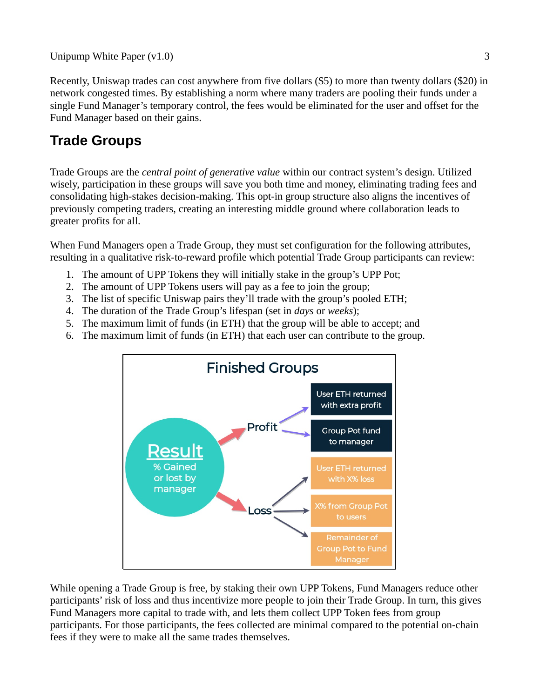Recently, Uniswap trades can cost anywhere from five dollars (\$5) to more than twenty dollars (\$20) in network congested times. By establishing a norm where many traders are pooling their funds under a single Fund Manager's temporary control, the fees would be eliminated for the user and offset for the Fund Manager based on their gains.

# <span id="page-2-0"></span>**Trade Groups**

Trade Groups are the *central point of generative value* within our contract system's design. Utilized wisely, participation in these groups will save you both time and money, eliminating trading fees and consolidating high-stakes decision-making. This opt-in group structure also aligns the incentives of previously competing traders, creating an interesting middle ground where collaboration leads to greater profits for all.

When Fund Managers open a Trade Group, they must set configuration for the following attributes, resulting in a qualitative risk-to-reward profile which potential Trade Group participants can review:

- 1. The amount of UPP Tokens they will initially stake in the group's UPP Pot;
- 2. The amount of UPP Tokens users will pay as a fee to join the group;
- 3. The list of specific Uniswap pairs they'll trade with the group's pooled ETH;
- 4. The duration of the Trade Group's lifespan (set in *days* or *weeks*);
- 5. The maximum limit of funds (in ETH) that the group will be able to accept; and
- 6. The maximum limit of funds (in ETH) that each user can contribute to the group.



While opening a Trade Group is free, by staking their own UPP Tokens, Fund Managers reduce other participants' risk of loss and thus incentivize more people to join their Trade Group. In turn, this gives Fund Managers more capital to trade with, and lets them collect UPP Token fees from group participants. For those participants, the fees collected are minimal compared to the potential on-chain fees if they were to make all the same trades themselves.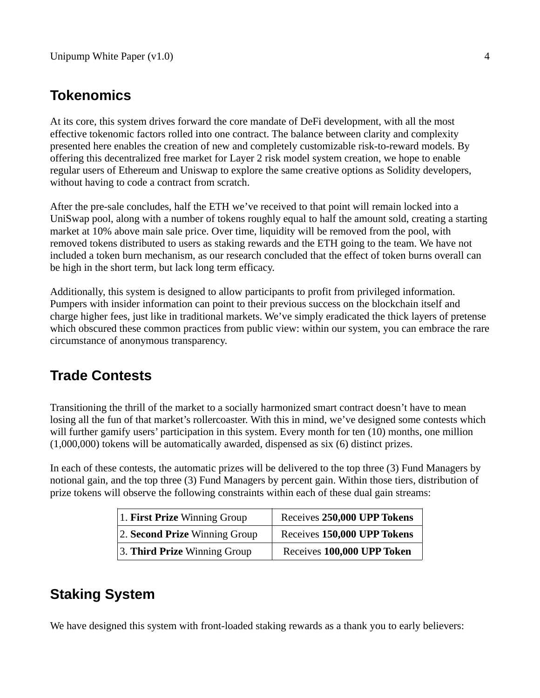### <span id="page-3-2"></span>**Tokenomics**

At its core, this system drives forward the core mandate of DeFi development, with all the most effective tokenomic factors rolled into one contract. The balance between clarity and complexity presented here enables the creation of new and completely customizable risk-to-reward models. By offering this decentralized free market for Layer 2 risk model system creation, we hope to enable regular users of Ethereum and Uniswap to explore the same creative options as Solidity developers, without having to code a contract from scratch.

After the pre-sale concludes, half the ETH we've received to that point will remain locked into a UniSwap pool, along with a number of tokens roughly equal to half the amount sold, creating a starting market at 10% above main sale price. Over time, liquidity will be removed from the pool, with removed tokens distributed to users as staking rewards and the ETH going to the team. We have not included a token burn mechanism, as our research concluded that the effect of token burns overall can be high in the short term, but lack long term efficacy.

Additionally, this system is designed to allow participants to profit from privileged information. Pumpers with insider information can point to their previous success on the blockchain itself and charge higher fees, just like in traditional markets. We've simply eradicated the thick layers of pretense which obscured these common practices from public view: within our system, you can embrace the rare circumstance of anonymous transparency.

### <span id="page-3-1"></span>**Trade Contests**

Transitioning the thrill of the market to a socially harmonized smart contract doesn't have to mean losing all the fun of that market's rollercoaster. With this in mind, we've designed some contests which will further gamify users' participation in this system. Every month for ten (10) months, one million (1,000,000) tokens will be automatically awarded, dispensed as six (6) distinct prizes.

In each of these contests, the automatic prizes will be delivered to the top three (3) Fund Managers by notional gain, and the top three (3) Fund Managers by percent gain. Within those tiers, distribution of prize tokens will observe the following constraints within each of these dual gain streams:

| 1. First Prize Winning Group  | Receives 250,000 UPP Tokens |
|-------------------------------|-----------------------------|
| 2. Second Prize Winning Group | Receives 150,000 UPP Tokens |
| 3. Third Prize Winning Group  | Receives 100,000 UPP Token  |

### <span id="page-3-0"></span>**Staking System**

We have designed this system with front-loaded staking rewards as a thank you to early believers: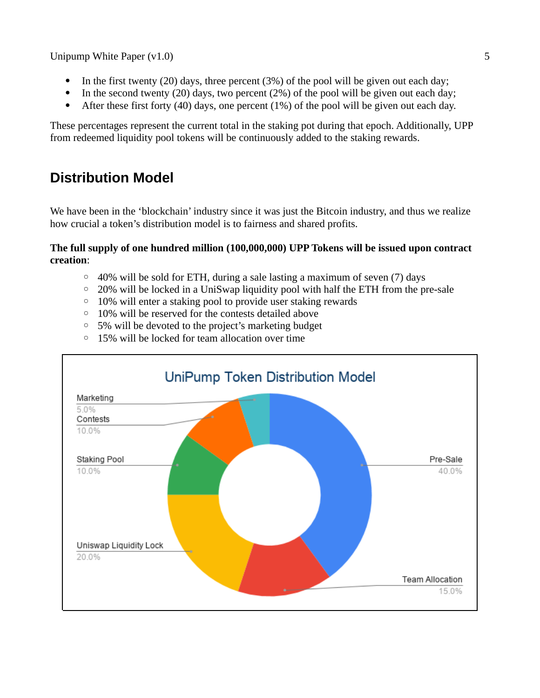- In the first twenty (20) days, three percent  $(3%)$  of the pool will be given out each day;
- In the second twenty (20) days, two percent (2%) of the pool will be given out each day;
- After these first forty (40) days, one percent (1%) of the pool will be given out each day.

These percentages represent the current total in the staking pot during that epoch. Additionally, UPP from redeemed liquidity pool tokens will be continuously added to the staking rewards.

# <span id="page-4-0"></span>**Distribution Model**

We have been in the 'blockchain' industry since it was just the Bitcoin industry, and thus we realize how crucial a token's distribution model is to fairness and shared profits.

#### **The full supply of one hundred million (100,000,000) UPP Tokens will be issued upon contract creation**:

- $\degree$  40% will be sold for ETH, during a sale lasting a maximum of seven (7) days
- 20% will be locked in a UniSwap liquidity pool with half the ETH from the pre-sale
- 10% will enter a staking pool to provide user staking rewards
- 10% will be reserved for the contests detailed above
- 5% will be devoted to the project's marketing budget
- 15% will be locked for team allocation over time

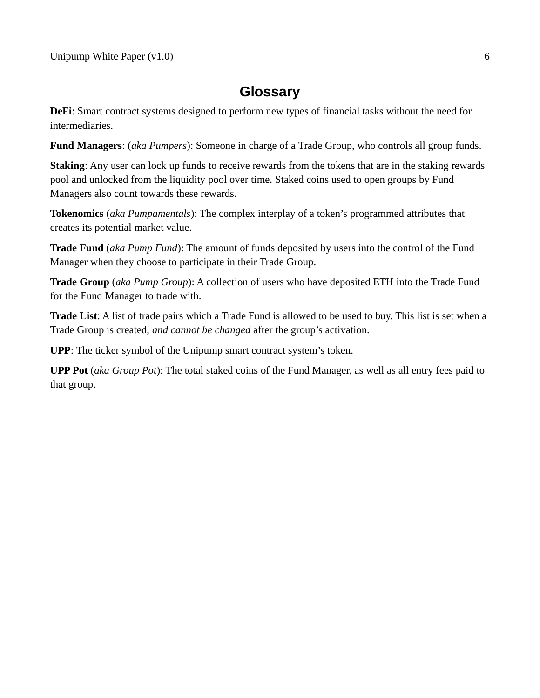### <span id="page-5-0"></span>**Glossary**

**DeFi**: Smart contract systems designed to perform new types of financial tasks without the need for intermediaries.

**Fund Managers**: (*aka Pumpers*): Someone in charge of a Trade Group, who controls all group funds.

**Staking**: Any user can lock up funds to receive rewards from the tokens that are in the staking rewards pool and unlocked from the liquidity pool over time. Staked coins used to open groups by Fund Managers also count towards these rewards.

**Tokenomics** (*aka Pumpamentals*): The complex interplay of a token's programmed attributes that creates its potential market value.

**Trade Fund** (*aka Pump Fund*): The amount of funds deposited by users into the control of the Fund Manager when they choose to participate in their Trade Group.

**Trade Group** (*aka Pump Group*): A collection of users who have deposited ETH into the Trade Fund for the Fund Manager to trade with.

**Trade List**: A list of trade pairs which a Trade Fund is allowed to be used to buy. This list is set when a Trade Group is created, *and cannot be changed* after the group's activation.

**UPP**: The ticker symbol of the Unipump smart contract system's token.

**UPP Pot** (*aka Group Pot*): The total staked coins of the Fund Manager, as well as all entry fees paid to that group.